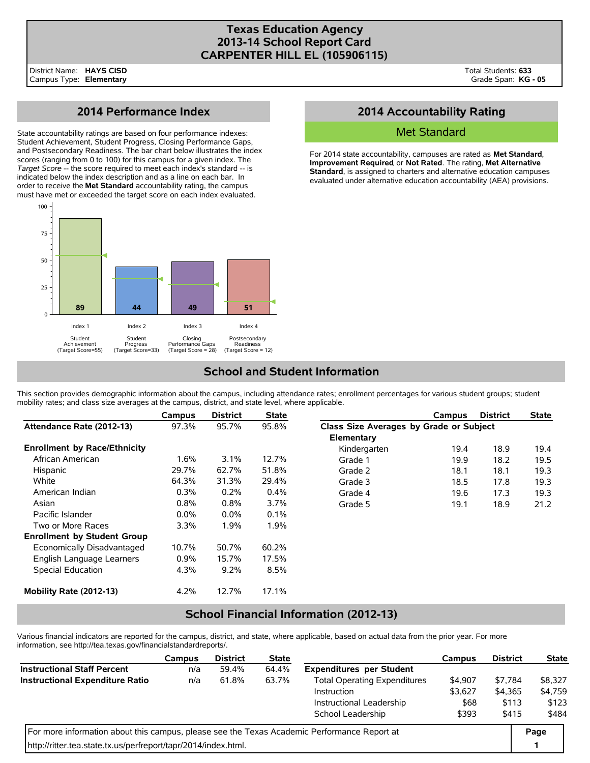### **Texas Education Agency 2013-14 School Report Card CARPENTER HILL EL (105906115)**

# **2014 Performance Index**

State accountability ratings are based on four performance indexes: Student Achievement, Student Progress, Closing Performance Gaps, and Postsecondary Readiness. The bar chart below illustrates the index scores (ranging from 0 to 100) for this campus for a given index. The *Target Score* -- the score required to meet each index's standard -- is indicated below the index description and as a line on each bar. In order to receive the **Met Standard** accountability rating, the campus must have met or exceeded the target score on each index evaluated.



# **2014 Accountability Rating**

### Met Standard

For 2014 state accountability, campuses are rated as **Met Standard**, **Improvement Required**, or **Not Rated**. The rating, **Met Alternative Standard**, is assigned to charters and alternative education campuses evaluated under alternative education accountability (AEA) provisions.

# **School and Student Information**

This section provides demographic information about the campus, including attendance rates; enrollment percentages for various student groups; student mobility rates; and class size averages at the campus, district, and state level, where applicable.

|                                     | Campus  | <b>District</b> | <b>State</b> |                                         | Campus | <b>District</b> | <b>State</b> |
|-------------------------------------|---------|-----------------|--------------|-----------------------------------------|--------|-----------------|--------------|
| Attendance Rate (2012-13)           | 97.3%   | 95.7%           | 95.8%        | Class Size Averages by Grade or Subject |        |                 |              |
|                                     |         |                 |              | Elementary                              |        |                 |              |
| <b>Enrollment by Race/Ethnicity</b> |         |                 |              | Kindergarten                            | 19.4   | 18.9            | 19.4         |
| African American                    | $1.6\%$ | 3.1%            | 12.7%        | Grade 1                                 | 19.9   | 18.2            | 19.5         |
| Hispanic                            | 29.7%   | 62.7%           | 51.8%        | Grade 2                                 | 18.1   | 18.1            | 19.3         |
| White                               | 64.3%   | 31.3%           | 29.4%        | Grade 3                                 | 18.5   | 17.8            | 19.3         |
| American Indian                     | 0.3%    | 0.2%            | 0.4%         | Grade 4                                 | 19.6   | 17.3            | 19.3         |
| Asian                               | 0.8%    | 0.8%            | $3.7\%$      | Grade 5                                 | 19.1   | 18.9            | 21.2         |
| Pacific Islander                    | $0.0\%$ | $0.0\%$         | $0.1\%$      |                                         |        |                 |              |
| Two or More Races                   | 3.3%    | 1.9%            | 1.9%         |                                         |        |                 |              |
| <b>Enrollment by Student Group</b>  |         |                 |              |                                         |        |                 |              |
| Economically Disadvantaged          | 10.7%   | 50.7%           | 60.2%        |                                         |        |                 |              |
| English Language Learners           | 0.9%    | 15.7%           | 17.5%        |                                         |        |                 |              |
| Special Education                   | 4.3%    | 9.2%            | 8.5%         |                                         |        |                 |              |
| Mobility Rate (2012-13)             | 4.2%    | 12.7%           | 17.1%        |                                         |        |                 |              |

## **School Financial Information (2012-13)**

Various financial indicators are reported for the campus, district, and state, where applicable, based on actual data from the prior year. For more information, see http://tea.texas.gov/financialstandardreports/.

|                                                                                             | Campus | <b>District</b> | <b>State</b> |                                     | Campus  | <b>District</b> | <b>State</b> |
|---------------------------------------------------------------------------------------------|--------|-----------------|--------------|-------------------------------------|---------|-----------------|--------------|
| <b>Instructional Staff Percent</b>                                                          | n/a    | 59.4%           | 64.4%        | <b>Expenditures per Student</b>     |         |                 |              |
| <b>Instructional Expenditure Ratio</b>                                                      | n/a    | 61.8%           | 63.7%        | <b>Total Operating Expenditures</b> | \$4,907 | \$7.784         | \$8,327      |
| Instruction                                                                                 |        |                 |              |                                     | \$3,627 | \$4,365         | \$4,759      |
|                                                                                             |        |                 |              | Instructional Leadership            | \$68    | \$113           | \$123        |
|                                                                                             |        |                 |              | School Leadership                   | \$393   | \$415           | \$484        |
| For more information about this campus, please see the Texas Academic Performance Report at |        |                 |              |                                     |         |                 |              |
| http://ritter.tea.state.tx.us/perfreport/tapr/2014/index.html.                              |        |                 |              |                                     |         |                 |              |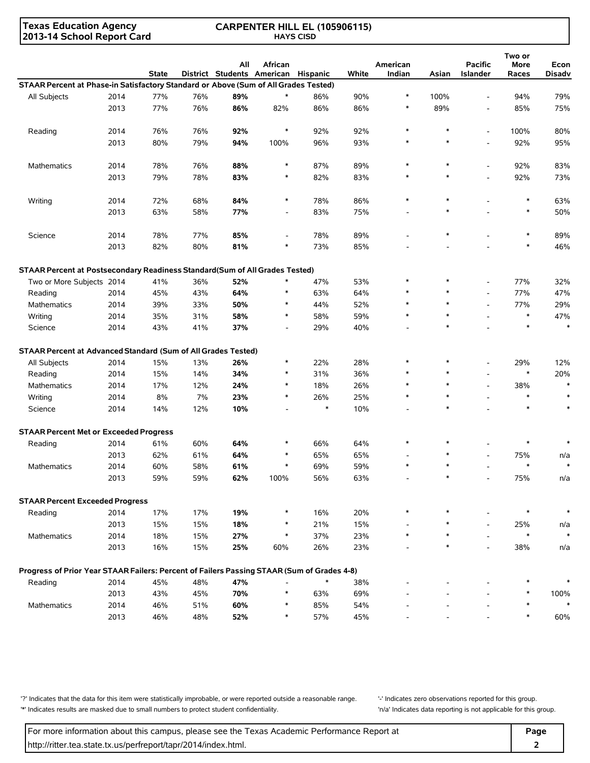**Texas Education Agency 2013-14 School Report Card**

#### **CARPENTER HILL EL (105906115) HAYS CISD**

|                                                                                            |      | <b>State</b> |     | All | African<br>District Students American | Hispanic | White | American<br>Indian | Asian  | <b>Pacific</b><br>Islander | Two or<br>More<br>Races | Econ<br>Disadv |
|--------------------------------------------------------------------------------------------|------|--------------|-----|-----|---------------------------------------|----------|-------|--------------------|--------|----------------------------|-------------------------|----------------|
| STAAR Percent at Phase-in Satisfactory Standard or Above (Sum of All Grades Tested)        |      |              |     |     |                                       |          |       |                    |        |                            |                         |                |
| All Subjects                                                                               | 2014 | 77%          | 76% | 89% | $\ast$                                | 86%      | 90%   | $\ast$             | 100%   | ÷,                         | 94%                     | 79%            |
|                                                                                            | 2013 | 77%          | 76% | 86% | 82%                                   | 86%      | 86%   | $\ast$             | 89%    | $\overline{\phantom{a}}$   | 85%                     | 75%            |
|                                                                                            |      |              |     |     |                                       |          |       |                    |        |                            |                         |                |
| Reading                                                                                    | 2014 | 76%          | 76% | 92% | $\ast$                                | 92%      | 92%   | $\ast$             | $\ast$ | ÷,                         | 100%                    | 80%            |
|                                                                                            | 2013 | 80%          | 79% | 94% | 100%                                  | 96%      | 93%   | $\ast$             | $\ast$ | $\overline{a}$             | 92%                     | 95%            |
|                                                                                            |      |              |     |     |                                       |          |       |                    |        |                            |                         |                |
| Mathematics                                                                                | 2014 | 78%          | 76% | 88% | $\ast$                                | 87%      | 89%   | $\ast$             | $\ast$ | $\overline{\phantom{a}}$   | 92%                     | 83%            |
|                                                                                            | 2013 | 79%          | 78% | 83% | $\ast$                                | 82%      | 83%   | $\ast$             | $\ast$ | ÷,                         | 92%                     | 73%            |
|                                                                                            |      |              |     |     |                                       |          |       |                    |        |                            |                         |                |
| Writing                                                                                    | 2014 | 72%          | 68% | 84% | $\ast$                                | 78%      | 86%   | $\ast$             | $\ast$ |                            | $\ast$                  | 63%            |
|                                                                                            | 2013 | 63%          | 58% | 77% | $\overline{\phantom{a}}$              | 83%      | 75%   |                    | $\ast$ |                            | $\ast$                  | 50%            |
| Science                                                                                    | 2014 | 78%          | 77% | 85% | $\overline{\phantom{a}}$              | 78%      | 89%   |                    | $\ast$ |                            | $\ast$                  | 89%            |
|                                                                                            | 2013 | 82%          | 80% | 81% | ∗                                     | 73%      | 85%   |                    |        |                            | $\ast$                  | 46%            |
|                                                                                            |      |              |     |     |                                       |          |       |                    |        |                            |                         |                |
| STAAR Percent at Postsecondary Readiness Standard(Sum of All Grades Tested)                |      |              |     |     |                                       |          |       |                    |        |                            |                         |                |
| Two or More Subjects 2014                                                                  |      | 41%          | 36% | 52% | $\ast$                                | 47%      | 53%   | $\ast$             | $\ast$ | $\overline{\phantom{a}}$   | 77%                     | 32%            |
| Reading                                                                                    | 2014 | 45%          | 43% | 64% |                                       | 63%      | 64%   |                    | $\ast$ | $\overline{\phantom{a}}$   | 77%                     | 47%            |
| Mathematics                                                                                | 2014 | 39%          | 33% | 50% | $\ast$                                | 44%      | 52%   |                    | $\ast$ | $\overline{\phantom{a}}$   | 77%                     | 29%            |
| Writing                                                                                    | 2014 | 35%          | 31% | 58% | $\ast$                                | 58%      | 59%   | $\ast$             | $\ast$ |                            | $\ast$                  | 47%            |
| Science                                                                                    | 2014 | 43%          | 41% | 37% | $\overline{\phantom{a}}$              | 29%      | 40%   |                    | $\ast$ |                            | $\ast$                  | $\ast$         |
| STAAR Percent at Advanced Standard (Sum of All Grades Tested)                              |      |              |     |     |                                       |          |       |                    |        |                            |                         |                |
| All Subjects                                                                               | 2014 | 15%          | 13% | 26% | $\ast$                                | 22%      | 28%   |                    |        | ÷,                         | 29%                     | 12%            |
| Reading                                                                                    | 2014 | 15%          | 14% | 34% | $\ast$                                | 31%      | 36%   |                    | $\ast$ |                            | $\ast$                  | 20%            |
| Mathematics                                                                                | 2014 | 17%          | 12% | 24% | $\ast$                                | 18%      | 26%   |                    | $\ast$ | ÷,                         | 38%                     | $\ast$         |
| Writing                                                                                    | 2014 | 8%           | 7%  | 23% | $\ast$                                | 26%      | 25%   | $\ast$             |        |                            | $\ast$                  |                |
| Science                                                                                    | 2014 | 14%          | 12% | 10% |                                       | $\ast$   | 10%   |                    | $\ast$ |                            | $\ast$                  |                |
|                                                                                            |      |              |     |     |                                       |          |       |                    |        |                            |                         |                |
| <b>STAAR Percent Met or Exceeded Progress</b>                                              |      |              |     |     |                                       |          |       |                    |        |                            |                         |                |
| Reading                                                                                    | 2014 | 61%          | 60% | 64% | *                                     | 66%      | 64%   | $\ast$             |        |                            |                         |                |
|                                                                                            | 2013 | 62%          | 61% | 64% | ∗                                     | 65%      | 65%   |                    |        |                            | 75%                     | n/a            |
| <b>Mathematics</b>                                                                         | 2014 | 60%          | 58% | 61% | $\ast$                                | 69%      | 59%   | $\ast$             |        |                            | $\ast$                  |                |
|                                                                                            | 2013 | 59%          | 59% | 62% | 100%                                  | 56%      | 63%   |                    |        |                            | 75%                     | n/a            |
| <b>STAAR Percent Exceeded Progress</b>                                                     |      |              |     |     |                                       |          |       |                    |        |                            |                         |                |
| Reading                                                                                    | 2014 | 17%          | 17% | 19% | $\ast$                                | 16%      | 20%   | $\ast$             |        |                            | $\ast$                  | $\ast$         |
|                                                                                            | 2013 | 15%          | 15% | 18% |                                       | 21%      | 15%   |                    |        |                            | 25%                     | n/a            |
| Mathematics                                                                                | 2014 | 18%          | 15% | 27% | $\ast$                                | 37%      | 23%   | $\ast$             |        |                            | $\ast$                  |                |
|                                                                                            | 2013 | 16%          | 15% | 25% | 60%                                   | 26%      | 23%   |                    |        |                            | 38%                     | n/a            |
|                                                                                            |      |              |     |     |                                       |          |       |                    |        |                            |                         |                |
| Progress of Prior Year STAAR Failers: Percent of Failers Passing STAAR (Sum of Grades 4-8) |      |              |     |     |                                       |          |       |                    |        |                            |                         |                |
| Reading                                                                                    | 2014 | 45%          | 48% | 47% |                                       |          | 38%   |                    |        |                            | $\ast$                  |                |
|                                                                                            | 2013 | 43%          | 45% | 70% | $\ast$                                | 63%      | 69%   |                    |        |                            | $\ast$                  | 100%           |
| Mathematics                                                                                | 2014 | 46%          | 51% | 60% | *                                     | 85%      | 54%   |                    |        |                            | $\ast$                  |                |
|                                                                                            | 2013 | 46%          | 48% | 52% | $\ast$                                | 57%      | 45%   |                    |        |                            | $\ast$                  | 60%            |

'?' Indicates that the data for this item were statistically improbable, or were reported outside a reasonable range. '' Indicates zero observations reported for this group. '\*' Indicates results are masked due to small numbers to protect student confidentiality. 'n/a' Indicates data reporting is not applicable for this group.

For more information about this campus, please see the Texas Academic Performance Report at **Page Page** http://ritter.tea.state.tx.us/perfreport/tapr/2014/index.html. **2**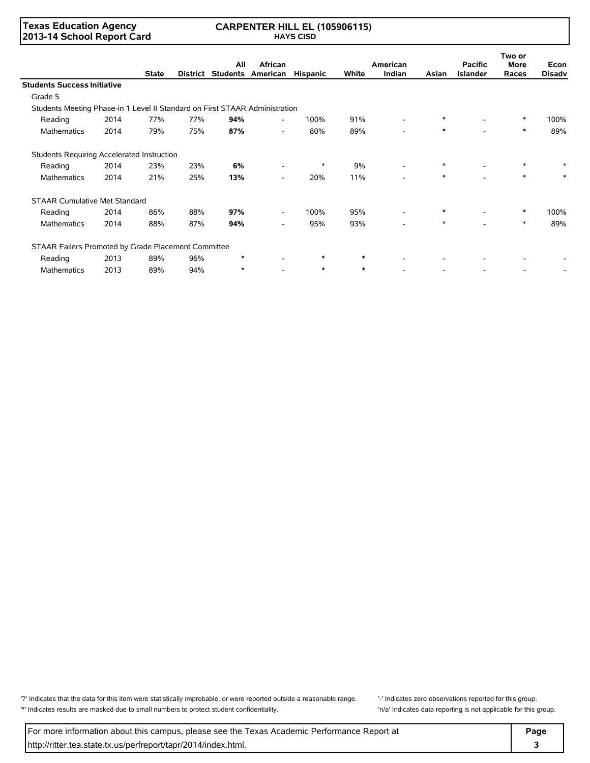#### **Texas Education Agency 2013-14 School Report Card**

#### **CARPENTER HILL EL (105906115) HAYS CISD**

|                                                                             |      |              |          |                 |                          |                 |        |                          |        |                                   | Two or               |                       |
|-----------------------------------------------------------------------------|------|--------------|----------|-----------------|--------------------------|-----------------|--------|--------------------------|--------|-----------------------------------|----------------------|-----------------------|
|                                                                             |      | <b>State</b> | District | All<br>Students | African<br>American      | <b>Hispanic</b> | White  | American<br>Indian       | Asian  | <b>Pacific</b><br><b>Islander</b> | <b>More</b><br>Races | Econ<br><b>Disadv</b> |
| <b>Students Success Initiative</b>                                          |      |              |          |                 |                          |                 |        |                          |        |                                   |                      |                       |
| Grade 5                                                                     |      |              |          |                 |                          |                 |        |                          |        |                                   |                      |                       |
| Students Meeting Phase-in 1 Level II Standard on First STAAR Administration |      |              |          |                 |                          |                 |        |                          |        |                                   |                      |                       |
| Reading                                                                     | 2014 | 77%          | 77%      | 94%             |                          | 100%            | 91%    |                          | $\ast$ |                                   | $\ast$               | 100%                  |
| <b>Mathematics</b>                                                          | 2014 | 79%          | 75%      | 87%             | $\overline{\phantom{0}}$ | 80%             | 89%    | $\overline{\phantom{a}}$ | $\ast$ |                                   | $\ast$               | 89%                   |
| Students Requiring Accelerated Instruction                                  |      |              |          |                 |                          |                 |        |                          |        |                                   |                      |                       |
| Reading                                                                     | 2014 | 23%          | 23%      | 6%              |                          | $\ast$          | 9%     |                          | $\ast$ | $\overline{\phantom{0}}$          | $\ast$               |                       |
| <b>Mathematics</b>                                                          | 2014 | 21%          | 25%      | 13%             |                          | 20%             | 11%    |                          | $\ast$ |                                   | $\ast$               |                       |
| <b>STAAR Cumulative Met Standard</b>                                        |      |              |          |                 |                          |                 |        |                          |        |                                   |                      |                       |
| Reading                                                                     | 2014 | 86%          | 88%      | 97%             | $\overline{\phantom{a}}$ | 100%            | 95%    |                          | $\ast$ |                                   | $\ast$               | 100%                  |
| <b>Mathematics</b>                                                          | 2014 | 88%          | 87%      | 94%             | $\overline{\phantom{0}}$ | 95%             | 93%    | $\overline{\phantom{a}}$ | $\ast$ |                                   | $\ast$               | 89%                   |
| STAAR Failers Promoted by Grade Placement Committee                         |      |              |          |                 |                          |                 |        |                          |        |                                   |                      |                       |
| Reading                                                                     | 2013 | 89%          | 96%      | $\star$         |                          | $\ast$          | $\ast$ |                          |        |                                   |                      |                       |
| <b>Mathematics</b>                                                          | 2013 | 89%          | 94%      | $\star$         |                          | $\ast$          | $\ast$ |                          |        |                                   |                      |                       |

'?' Indicates that the data for this item were statistically improbable, or were reported outside a reasonable range. '' Indicates zero observations reported for this group. '\*' Indicates results are masked due to small numbers to protect student confidentiality. 'n/a' Indicates data reporting is not applicable for this group.

For more information about this campus, please see the Texas Academic Performance Report at **Page Page** http://ritter.tea.state.tx.us/perfreport/tapr/2014/index.html. **3**